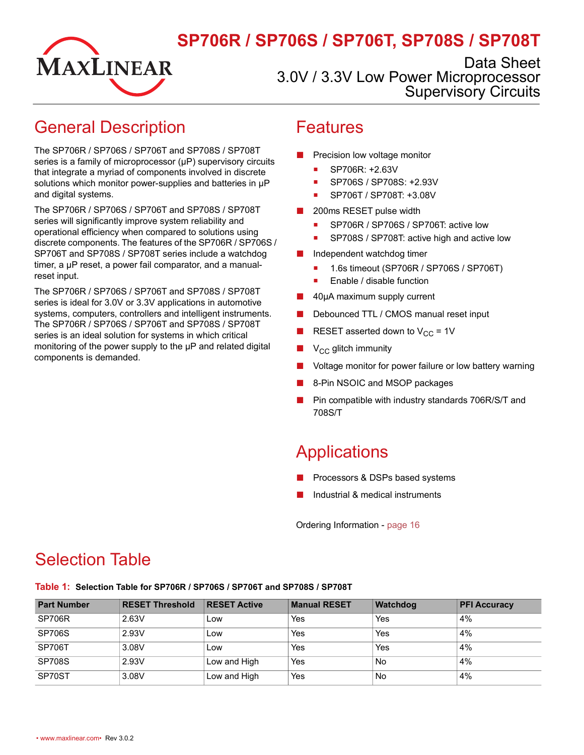# MAXLINEAR

# **SP706R / SP706S / SP706T, SP708S / SP708T**

Data Sheet 3.0V / 3.3V Low Power Microprocessor Supervisory Circuits

## <span id="page-0-0"></span>General Description

The SP706R / SP706S / SP706T and SP708S / SP708T series is a family of microprocessor (µP) supervisory circuits that integrate a myriad of components involved in discrete solutions which monitor power-supplies and batteries in  $\mu$ P and digital systems.

The SP706R / SP706S / SP706T and SP708S / SP708T series will significantly improve system reliability and operational efficiency when compared to solutions using discrete components. The features of the SP706R / SP706S / SP706T and SP708S / SP708T series include a watchdog timer, a µP reset, a power fail comparator, and a manualreset input.

The SP706R / SP706S / SP706T and SP708S / SP708T series is ideal for 3.0V or 3.3V applications in automotive systems, computers, controllers and intelligent instruments. The SP706R / SP706S / SP706T and SP708S / SP708T series is an ideal solution for systems in which critical monitoring of the power supply to the  $\mu$ P and related digital components is demanded.

#### <span id="page-0-1"></span>Features

- Precision low voltage monitor
	- SP706R: +2.63V
	- SP706S / SP708S: +2.93V
	- SP706T / SP708T: +3.08V
- 200ms RESET pulse width
	- SP706R / SP706S / SP706T: active low
	- SP708S / SP708T: active high and active low
- Independent watchdog timer
	- 1.6s timeout (SP706R / SP706S / SP706T)
	- Enable / disable function
- 40µA maximum supply current
- Debounced TTL / CMOS manual reset input
- RESET asserted down to  $V_{CC}$  = 1V
- $V_{CC}$  glitch immunity
- Voltage monitor for power failure or low battery warning
- 8-Pin NSOIC and MSOP packages
- Pin compatible with industry standards 706R/S/T and 708S/T

## <span id="page-0-2"></span>**Applications**

- Processors & DSPs based systems
- Industrial & medical instruments

Ordering Information - [page](#page-20-0) 16

## <span id="page-0-3"></span>Selection Table

<span id="page-0-4"></span>**Table 1: Selection Table for SP706R / SP706S / SP706T and SP708S / SP708T**

| <b>Part Number</b> | <b>RESET Threshold</b> | <b>RESET Active</b> | <b>Manual RESET</b> | <b>Watchdog</b> | <b>PFI Accuracy</b> |
|--------------------|------------------------|---------------------|---------------------|-----------------|---------------------|
| SP706R             | 2.63V                  | Low                 | Yes                 | Yes             | 4%                  |
| <b>SP706S</b>      | 2.93V                  | Low                 | Yes                 | Yes             | 4%                  |
| <b>SP706T</b>      | 3.08V                  | Low                 | Yes                 | Yes             | 4%                  |
| <b>SP708S</b>      | 2.93V                  | Low and High        | Yes                 | <b>No</b>       | 4%                  |
| SP70ST             | 3.08V                  | Low and High        | Yes                 | <b>No</b>       | 4%                  |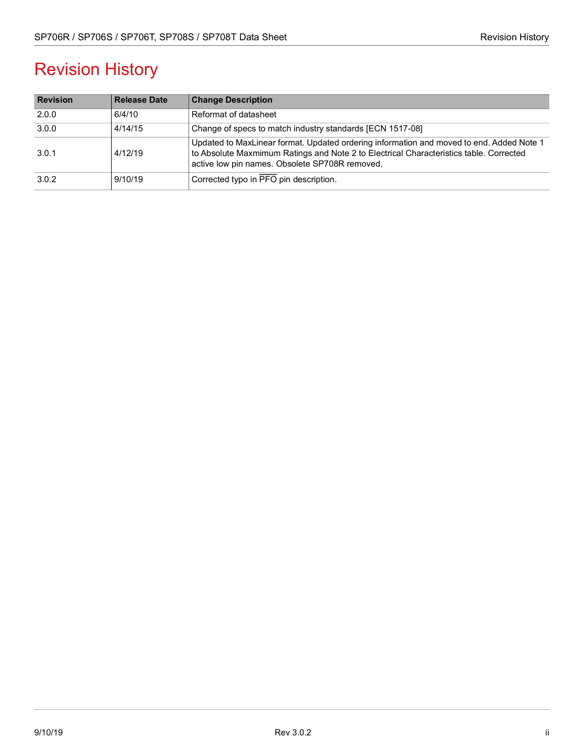# Revision History

| <b>Revision</b> | <b>Release Date</b> | <b>Change Description</b>                                                                                                                                                                                                            |
|-----------------|---------------------|--------------------------------------------------------------------------------------------------------------------------------------------------------------------------------------------------------------------------------------|
| 2.0.0           | 6/4/10              | Reformat of datasheet                                                                                                                                                                                                                |
| 3.0.0           | 4/14/15             | Change of specs to match industry standards [ECN 1517-08]                                                                                                                                                                            |
| 3.0.1           | 4/12/19             | Updated to MaxLinear format. Updated ordering information and moved to end. Added Note 1<br>to Absolute Maxmimum Ratings and Note 2 to Electrical Characteristics table. Corrected<br>active low pin names. Obsolete SP708R removed. |
| 3.0.2           | 9/10/19             | Corrected typo in PFO pin description.                                                                                                                                                                                               |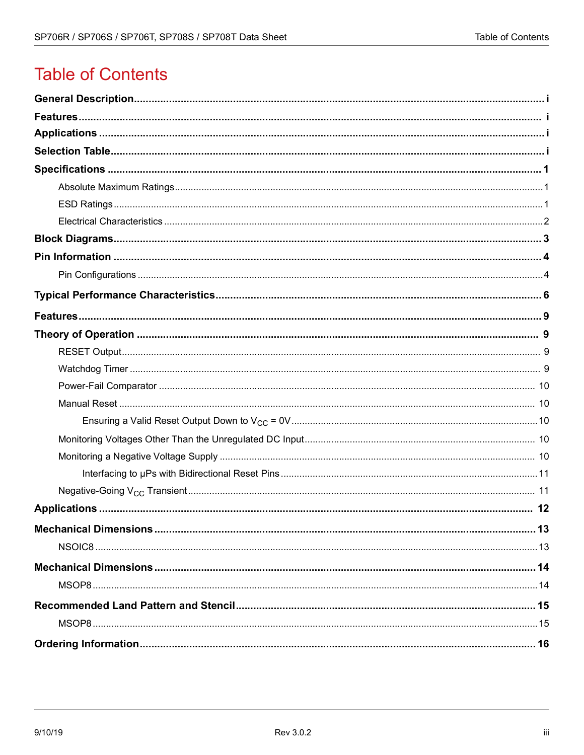# **Table of Contents**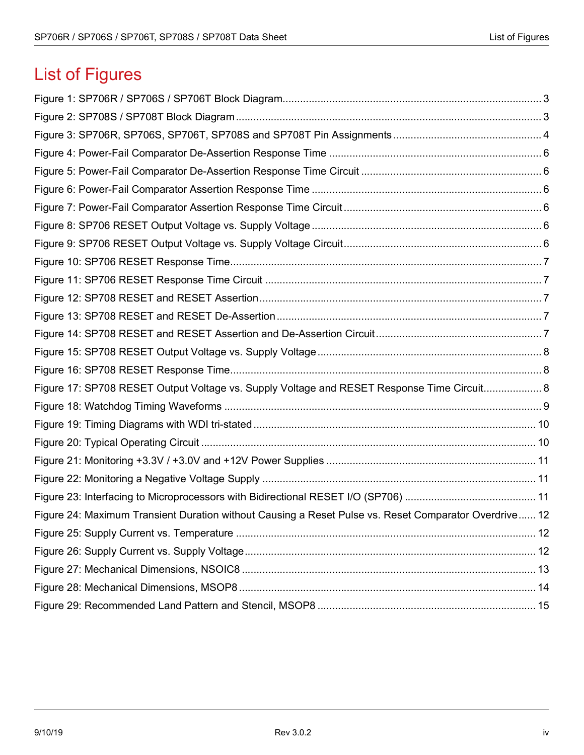# List of Figures

| Figure 17: SP708 RESET Output Voltage vs. Supply Voltage and RESET Response Time Circuit 8            |  |
|-------------------------------------------------------------------------------------------------------|--|
|                                                                                                       |  |
|                                                                                                       |  |
|                                                                                                       |  |
|                                                                                                       |  |
|                                                                                                       |  |
|                                                                                                       |  |
| Figure 24: Maximum Transient Duration without Causing a Reset Pulse vs. Reset Comparator Overdrive 12 |  |
|                                                                                                       |  |
|                                                                                                       |  |
|                                                                                                       |  |
|                                                                                                       |  |
|                                                                                                       |  |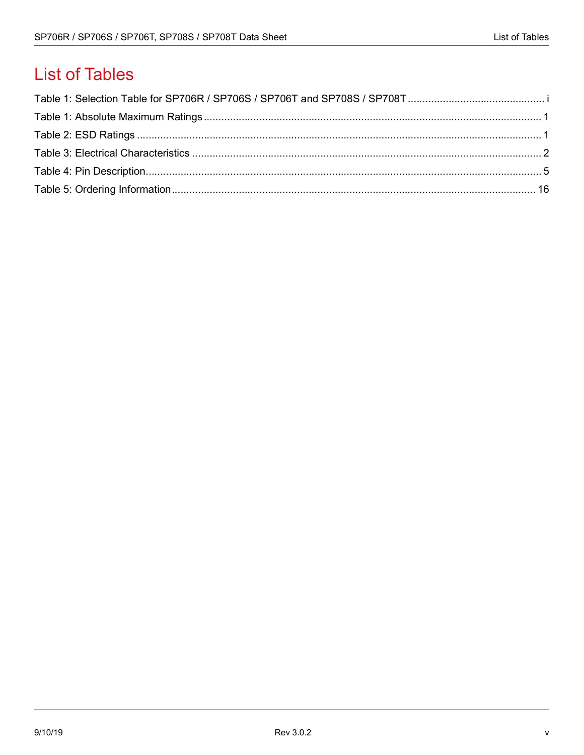# **List of Tables**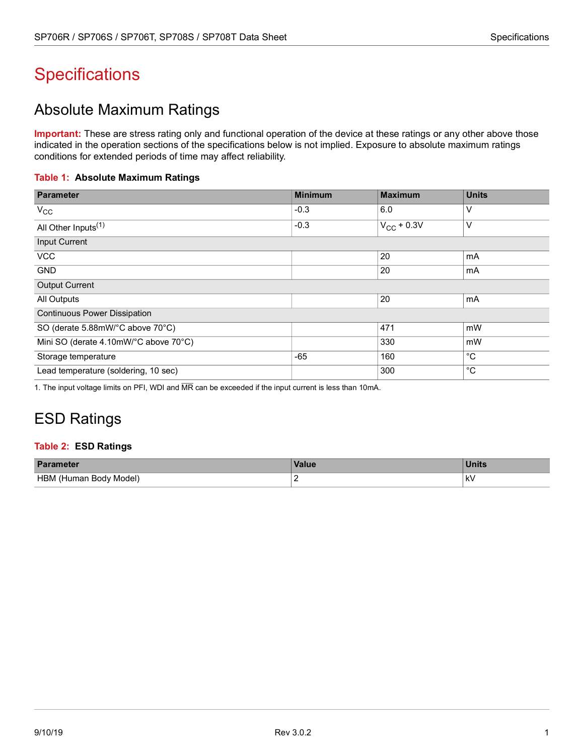# <span id="page-5-0"></span>**Specifications**

#### <span id="page-5-1"></span>Absolute Maximum Ratings

**Important:** These are stress rating only and functional operation of the device at these ratings or any other above those indicated in the operation sections of the specifications below is not implied. Exposure to absolute maximum ratings conditions for extended periods of time may affect reliability.

#### <span id="page-5-3"></span>**Table 1: Absolute Maximum Ratings**

| <b>Parameter</b>                      | <b>Minimum</b> | Maximum         | <b>Units</b> |
|---------------------------------------|----------------|-----------------|--------------|
| $V_{\rm CC}$                          | $-0.3$         | 6.0             | V            |
| All Other Inputs <sup>(1)</sup>       | $-0.3$         | $V_{CC}$ + 0.3V | V            |
| <b>Input Current</b>                  |                |                 |              |
| <b>VCC</b>                            |                | 20              | mA           |
| <b>GND</b>                            |                | 20              | mA           |
| <b>Output Current</b>                 |                |                 |              |
| All Outputs                           |                | 20              | mA           |
| <b>Continuous Power Dissipation</b>   |                |                 |              |
| SO (derate 5.88mW/°C above 70°C)      |                | 471             | mW           |
| Mini SO (derate 4.10mW/°C above 70°C) |                | 330             | mW           |
| Storage temperature                   | $-65$          | 160             | $^{\circ}C$  |
| Lead temperature (soldering, 10 sec)  |                | 300             | $^{\circ}C$  |

1. The input voltage limits on PFI, WDI and MR can be exceeded if the input current is less than 10mA.

## <span id="page-5-2"></span>ESD Ratings

#### <span id="page-5-4"></span>**Table 2: ESD Ratings**

| <b>Parameter</b>                 | <b>Value</b> | <b>Units</b> |
|----------------------------------|--------------|--------------|
| HBM<br>' Model)<br>⊦ (Human Bodv |              | k۷<br>$\sim$ |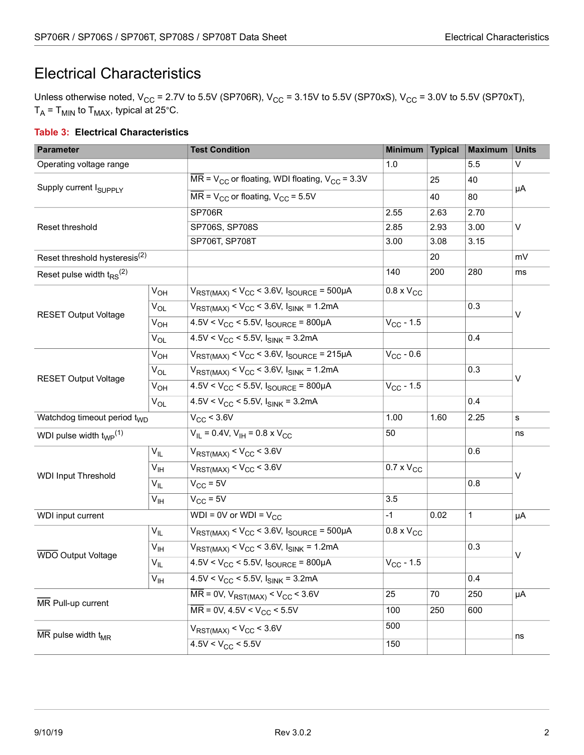#### <span id="page-6-0"></span>Electrical Characteristics

Unless otherwise noted,  $V_{CC}$  = 2.7V to 5.5V (SP706R),  $V_{CC}$  = 3.15V to 5.5V (SP70xS),  $V_{CC}$  = 3.0V to 5.5V (SP70xT),  $T_A$  = T<sub>MIN</sub> to T<sub>MAX</sub>, typical at 25°C.

#### <span id="page-6-1"></span>**Table 3: Electrical Characteristics**

| <b>Parameter</b>                                   |                 | <b>Test Condition</b>                                                                      | <b>Minimum</b>      | <b>Typical</b> | <b>Maximum</b> | <b>Units</b> |  |
|----------------------------------------------------|-----------------|--------------------------------------------------------------------------------------------|---------------------|----------------|----------------|--------------|--|
| Operating voltage range                            |                 |                                                                                            | 1.0                 |                | 5.5            | V            |  |
| Supply current I <sub>SUPPLY</sub>                 |                 | $\overline{\text{MR}}$ = V <sub>CC</sub> or floating, WDI floating, V <sub>CC</sub> = 3.3V |                     | 25             | 40             |              |  |
|                                                    |                 | $\overline{\text{MR}}$ = V <sub>CC</sub> or floating, V <sub>CC</sub> = 5.5V<br>40         |                     |                | 80             | μA           |  |
|                                                    |                 | <b>SP706R</b>                                                                              | 2.55                | 2.63           | 2.70           |              |  |
| Reset threshold                                    |                 | SP706S, SP708S                                                                             | 2.85                | 2.93           | 3.00           | V            |  |
|                                                    |                 | SP706T, SP708T                                                                             | 3.00                | 3.08           | 3.15           |              |  |
| Reset threshold hysteresis <sup>(2)</sup>          |                 |                                                                                            |                     | 20             |                | mV           |  |
| Reset pulse width $t_{RS}$ <sup>(2)</sup>          |                 |                                                                                            | 140                 | 200            | 280            | ms           |  |
|                                                    | $V_{OH}$        | $V_{RST(MAX)} < V_{CC} < 3.6V$ , $I_{SOURCE} = 500 \mu A$                                  | $0.8 \times V_{CC}$ |                |                |              |  |
|                                                    | $V_{OL}$        | $V_{RST(MAX)} < V_{CC} < 3.6V$ , $I_{SINK} = 1.2mA$                                        |                     |                | 0.3            |              |  |
| <b>RESET Output Voltage</b>                        | $V_{OH}$        | $4.5V < V_{CC}$ < 5.5V, $I_{SOLRCE}$ = 800µA                                               | $V_{CC}$ - 1.5      |                |                | V            |  |
|                                                    | $V_{OL}$        | $4.5V < V_{CC}$ < 5.5V, $I_{SINK}$ = 3.2mA                                                 |                     |                | 0.4            |              |  |
|                                                    | $V_{OH}$        | $V_{RST(MAX)} < V_{CC} < 3.6V$ , $I_{SOURCE} = 215\mu A$                                   | $V_{CC}$ - 0.6      |                |                | V            |  |
| <b>RESET Output Voltage</b>                        | $V_{OL}$        | $V_{RST(MAX)} < V_{CC} < 3.6V$ , $I_{SINK} = 1.2mA$                                        |                     |                | 0.3            |              |  |
|                                                    | $V_{OH}$        | $4.5V < V_{CC}$ < 5.5V, $I_{SOLRCE}$ = 800µA                                               | $V_{CC}$ - 1.5      |                |                |              |  |
|                                                    | $V_{OL}$        | $4.5V < V_{CC}$ < 5.5V, $I_{SINK}$ = 3.2mA                                                 |                     |                | 0.4            |              |  |
| Watchdog timeout period t <sub>WD</sub>            |                 | $V_{CC}$ < 3.6V                                                                            | 1.00                | 1.60           | 2.25           | s            |  |
| WDI pulse width $t_{WP}$ <sup>(1)</sup>            |                 | $V_{IL}$ = 0.4V, $V_{IH}$ = 0.8 x $V_{CC}$                                                 | 50                  |                |                | ns           |  |
|                                                    | $V_{IL}$        | $V_{RST(MAX)} < V_{CC} < 3.6V$                                                             |                     |                | 0.6            |              |  |
| <b>WDI Input Threshold</b>                         | $V_{\text{IH}}$ | $V_{RST(MAX)} < V_{CC} < 3.6V$                                                             | $0.7 \times V_{CC}$ |                |                | V            |  |
|                                                    | $V_{IL}$        | $V_{CC}$ = 5V                                                                              |                     |                | 0.8            |              |  |
|                                                    | $V_{\text{IH}}$ | $V_{CC}$ = 5V                                                                              | 3.5                 |                |                |              |  |
| WDI input current                                  |                 | $WDI = 0V$ or $WDI = VCC$                                                                  | $-1$                | 0.02           | 1              | μA           |  |
|                                                    | $V_{IL}$        | $V_{RST(MAX)} < V_{CC} < 3.6V$ , $I_{SOURCE} = 500 \mu A$                                  | $0.8 \times V_{CC}$ |                |                |              |  |
| <b>WDO Output Voltage</b>                          | V <sub>IH</sub> | $V_{RST(MAX)} < V_{CC} < 3.6V$ , $I_{SINK} = 1.2mA$                                        |                     |                | 0.3            | V            |  |
|                                                    | $V_{IL}$        | $4.5V < V_{CC}$ < 5.5V, $I_{\text{SOURCE}}$ = 800µA                                        | $V_{CC} - 1.5$      |                |                |              |  |
|                                                    | $V_{\text{IH}}$ | $4.5V < V_{CC}$ < 5.5V, $I_{SINK}$ = 3.2mA                                                 |                     |                | 0.4            |              |  |
| MR Pull-up current                                 |                 | $\overline{\text{MR}}$ = 0V, $V_{\text{RST(MAX)}} < V_{\text{CC}} < 3.6V$                  | 25                  | 70             | 250            | μA           |  |
|                                                    |                 | $\overline{MR}$ = 0V, 4.5V < V <sub>CC</sub> < 5.5V                                        | 100                 | 250            | 600            |              |  |
| $\overline{\text{MR}}$ pulse width t <sub>MR</sub> |                 | $V_{RST(MAX)} < V_{CC} < 3.6V$                                                             | 500                 |                |                |              |  |
|                                                    |                 | $4.5V < V_{CC}$ < 5.5V                                                                     | 150                 |                |                | ns           |  |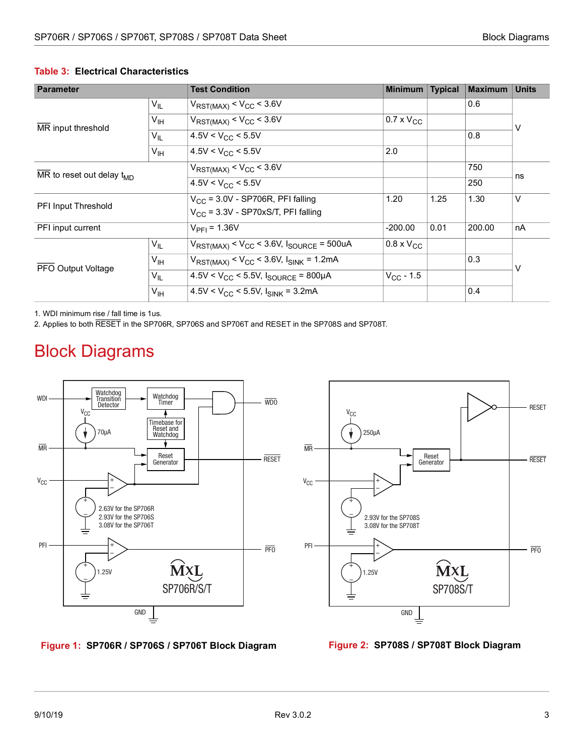| <b>Parameter</b>                                          |                 | <b>Test Condition</b>                                       | <b>Minimum</b>      | <b>Typical</b> | <b>Maximum</b> | <b>Units</b> |  |
|-----------------------------------------------------------|-----------------|-------------------------------------------------------------|---------------------|----------------|----------------|--------------|--|
|                                                           | $V_{IL}$        | $V_{RST(MAX)} < V_{CC} < 3.6V$                              |                     |                | 0.6            |              |  |
|                                                           | $V_{\text{IH}}$ | $V_{RST(MAX)} < V_{CC} < 3.6V$                              | $0.7 \times V_{CC}$ |                |                | ٧            |  |
| MR input threshold                                        | $V_{IL}$        | $4.5V < V_{CC}$ < 5.5V                                      |                     |                | 0.8            |              |  |
|                                                           | $V_{\text{IH}}$ | $4.5V < V_{CC}$ < 5.5V                                      | 2.0                 |                |                |              |  |
| $\overline{\text{MR}}$ to reset out delay $t_{\text{MD}}$ |                 | $V_{RST(MAX)} < V_{CC} < 3.6V$                              |                     |                | 750            |              |  |
|                                                           |                 | $4.5V < V_{CC}$ < 5.5V                                      |                     |                | 250            | ns           |  |
|                                                           |                 | $V_{CC}$ = 3.0V - SP706R, PFI falling                       | 1.20                | 1.25           | 1.30           | V            |  |
| PFI Input Threshold                                       |                 | $V_{CC}$ = 3.3V - SP70xS/T, PFI falling                     |                     |                |                |              |  |
| PFI input current                                         |                 | $V_{\text{PFI}} = 1.36V$                                    | $-200.00$           | 0.01           | 200.00         | nA           |  |
|                                                           | $V_{IL}$        | $V_{RST(MAX)} < V_{CC} < 3.6V$ , $I_{SOURCE} = 500uA$       | $0.8 \times V_{CC}$ |                |                | V            |  |
| PFO Output Voltage                                        | $V_{\text{IH}}$ | $V_{RST(MAX)} < V_{CC} < 3.6V$ , $I_{SINK} = 1.2mA$         |                     |                | 0.3            |              |  |
|                                                           | $V_{IL}$        | $4.5V < V_{CC}$ < 5.5V, $I_{SOLRCE}$ = 800µA                | $V_{\rm CC}$ - 1.5  |                |                |              |  |
|                                                           | $V_{\text{IH}}$ | $4.5$ V < V <sub>CC</sub> < 5.5V, I <sub>SINK</sub> = 3.2mA |                     |                | 0.4            |              |  |

#### **Table 3: Electrical Characteristics**

1. WDI minimum rise / fall time is 1us.

2. Applies to both RESET in the SP706R, SP706S and SP706T and RESET in the SP708S and SP708T.

## <span id="page-7-0"></span>Block Diagrams



<span id="page-7-1"></span>



<span id="page-7-2"></span>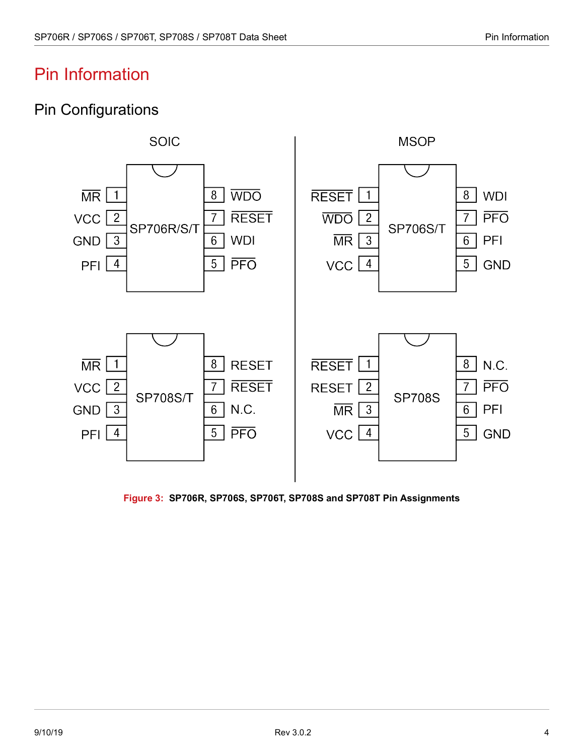## <span id="page-8-0"></span>Pin Information

#### <span id="page-8-1"></span>Pin Configurations



<span id="page-8-2"></span>**Figure 3: SP706R, SP706S, SP706T, SP708S and SP708T Pin Assignments**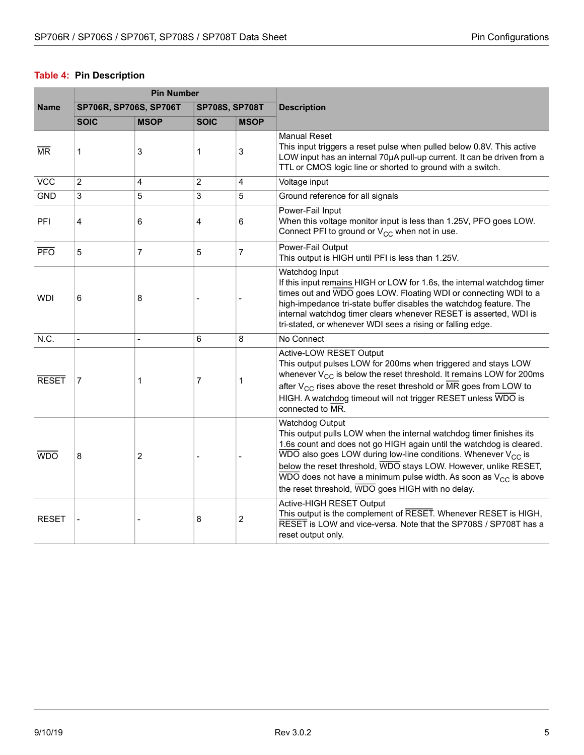#### <span id="page-9-0"></span>**Table 4: Pin Description**

|                        |                        | <b>Pin Number</b> |                       |                |                                                                                                                                                                                                                                                                                                                                                                                                                                                                   |  |
|------------------------|------------------------|-------------------|-----------------------|----------------|-------------------------------------------------------------------------------------------------------------------------------------------------------------------------------------------------------------------------------------------------------------------------------------------------------------------------------------------------------------------------------------------------------------------------------------------------------------------|--|
| <b>Name</b>            | SP706R, SP706S, SP706T |                   | <b>SP708S, SP708T</b> |                | <b>Description</b>                                                                                                                                                                                                                                                                                                                                                                                                                                                |  |
|                        | <b>SOIC</b>            | <b>MSOP</b>       | <b>SOIC</b>           | <b>MSOP</b>    |                                                                                                                                                                                                                                                                                                                                                                                                                                                                   |  |
| $\overline{\text{MR}}$ | 1                      | 3                 | 1                     | 3              | <b>Manual Reset</b><br>This input triggers a reset pulse when pulled below 0.8V. This active<br>LOW input has an internal 70µA pull-up current. It can be driven from a<br>TTL or CMOS logic line or shorted to ground with a switch.                                                                                                                                                                                                                             |  |
| <b>VCC</b>             | $\overline{c}$         | 4                 | $\overline{c}$        | 4              | Voltage input                                                                                                                                                                                                                                                                                                                                                                                                                                                     |  |
| <b>GND</b>             | 3                      | 5                 | 3                     | 5              | Ground reference for all signals                                                                                                                                                                                                                                                                                                                                                                                                                                  |  |
| PFI                    | 4                      | 6                 | 4                     | 6              | Power-Fail Input<br>When this voltage monitor input is less than 1.25V, PFO goes LOW.<br>Connect PFI to ground or V <sub>CC</sub> when not in use.                                                                                                                                                                                                                                                                                                                |  |
| <b>PFO</b>             | 5                      | 7                 | 5                     | $\overline{7}$ | Power-Fail Output<br>This output is HIGH until PFI is less than 1.25V.                                                                                                                                                                                                                                                                                                                                                                                            |  |
| <b>WDI</b>             | 6                      | 8                 |                       |                | Watchdog Input<br>If this input remains HIGH or LOW for 1.6s, the internal watchdog timer<br>times out and WDO goes LOW. Floating WDI or connecting WDI to a<br>high-impedance tri-state buffer disables the watchdog feature. The<br>internal watchdog timer clears whenever RESET is asserted, WDI is<br>tri-stated, or whenever WDI sees a rising or falling edge.                                                                                             |  |
| N.C.                   |                        |                   | 6                     | 8              | No Connect                                                                                                                                                                                                                                                                                                                                                                                                                                                        |  |
| <b>RESET</b>           | 7                      | 1                 | 7                     | 1              | Active-LOW RESET Output<br>This output pulses LOW for 200ms when triggered and stays LOW<br>whenever $V_{CC}$ is below the reset threshold. It remains LOW for 200ms<br>after $V_{CC}$ rises above the reset threshold or $\overline{MR}$ goes from LOW to<br>HIGH. A watchdog timeout will not trigger RESET unless WDO is<br>connected to MR.                                                                                                                   |  |
| <b>WDO</b>             | 8                      | 2                 |                       |                | Watchdog Output<br>This output pulls LOW when the internal watchdog timer finishes its<br>1.6s count and does not go HIGH again until the watchdog is cleared.<br>$\overline{\text{WDO}}$ also goes LOW during low-line conditions. Whenever V <sub>CC</sub> is<br>below the reset threshold, WDO stays LOW. However, unlike RESET,<br>WDO does not have a minimum pulse width. As soon as $V_{CC}$ is above<br>the reset threshold, WDO goes HIGH with no delay. |  |
| <b>RESET</b>           |                        |                   | 8                     | $\overline{c}$ | Active-HIGH RESET Output<br>This output is the complement of RESET. Whenever RESET is HIGH,<br>RESET is LOW and vice-versa. Note that the SP708S / SP708T has a<br>reset output only.                                                                                                                                                                                                                                                                             |  |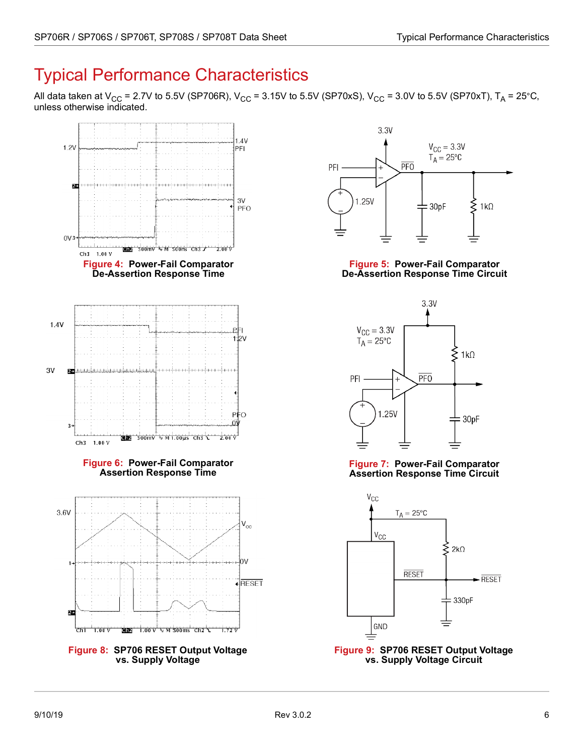# <span id="page-10-0"></span>Typical Performance Characteristics

All data taken at V<sub>CC</sub> = 2.7V to 5.5V (SP706R), V<sub>CC</sub> = 3.15V to 5.5V (SP70xS), V<sub>CC</sub> = 3.0V to 5.5V (SP70xT), T<sub>A</sub> = 25°C, unless otherwise indicated.

<span id="page-10-1"></span>



<span id="page-10-2"></span>**Figure 5: Power-Fail Comparator De-Assertion Response Time Circuit**



<span id="page-10-4"></span>

<span id="page-10-3"></span>

<span id="page-10-6"></span><span id="page-10-5"></span>**Figure 9: SP706 RESET Output Voltage vs. Supply Voltage Circuit**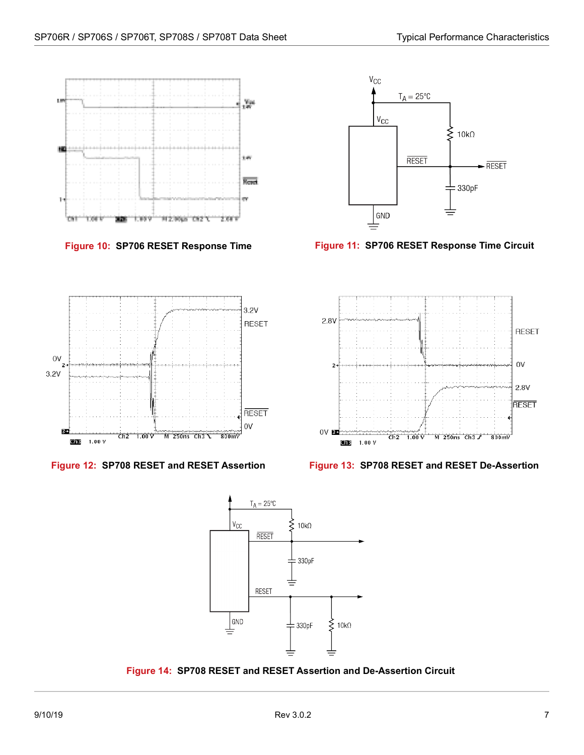



<span id="page-11-4"></span>



<span id="page-11-0"></span>

<span id="page-11-3"></span><span id="page-11-1"></span>

<span id="page-11-2"></span>

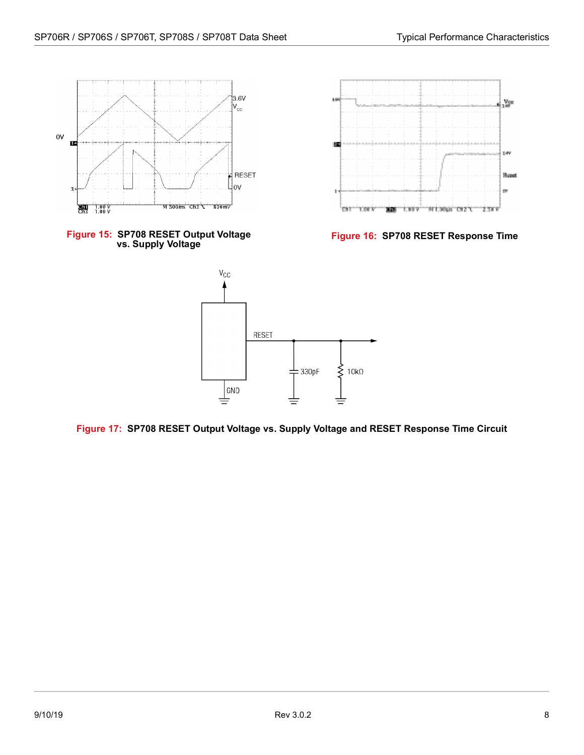

<span id="page-12-0"></span>



<span id="page-12-1"></span>



<span id="page-12-2"></span>**Figure 17: SP708 RESET Output Voltage vs. Supply Voltage and RESET Response Time Circuit**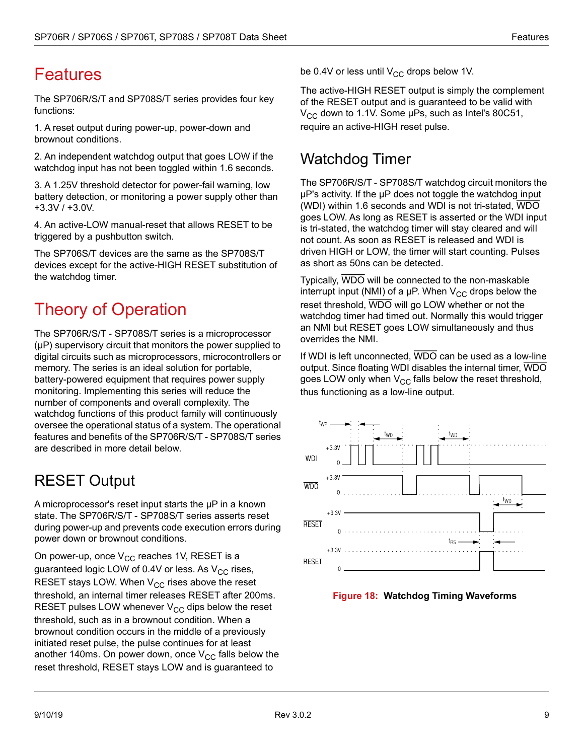# <span id="page-13-0"></span>Features

The SP706R/S/T and SP708S/T series provides four key functions:

1. A reset output during power-up, power-down and brownout conditions.

2. An independent watchdog output that goes LOW if the watchdog input has not been toggled within 1.6 seconds.

3. A 1.25V threshold detector for power-fail warning, low battery detection, or monitoring a power supply other than +3.3V / +3.0V.

4. An active-LOW manual-reset that allows RESET to be triggered by a pushbutton switch.

The SP706S/T devices are the same as the SP708S/T devices except for the active-HIGH RESET substitution of the watchdog timer.

# <span id="page-13-1"></span>Theory of Operation

The SP706R/S/T - SP708S/T series is a microprocessor (µP) supervisory circuit that monitors the power supplied to digital circuits such as microprocessors, microcontrollers or memory. The series is an ideal solution for portable, battery-powered equipment that requires power supply monitoring. Implementing this series will reduce the number of components and overall complexity. The watchdog functions of this product family will continuously oversee the operational status of a system. The operational features and benefits of the SP706R/S/T - SP708S/T series are described in more detail below.

## <span id="page-13-2"></span>RESET Output

A microprocessor's reset input starts the µP in a known state. The SP706R/S/T - SP708S/T series asserts reset during power-up and prevents code execution errors during power down or brownout conditions.

On power-up, once  $V_{CC}$  reaches 1V, RESET is a guaranteed logic LOW of 0.4V or less. As  $V_{CC}$  rises, RESET stays LOW. When  $V_{CC}$  rises above the reset threshold, an internal timer releases RESET after 200ms. RESET pulses LOW whenever  $V_{CC}$  dips below the reset threshold, such as in a brownout condition. When a brownout condition occurs in the middle of a previously initiated reset pulse, the pulse continues for at least another 140ms. On power down, once  $V_{CC}$  falls below the reset threshold, RESET stays LOW and is guaranteed to

be 0.4V or less until  $V_{CC}$  drops below 1V.

The active-HIGH RESET output is simply the complement of the RESET output and is guaranteed to be valid with  $V_{CC}$  down to 1.1V. Some  $\mu$ Ps, such as Intel's 80C51, require an active-HIGH reset pulse.

#### <span id="page-13-3"></span>Watchdog Timer

The SP706R/S/T - SP708S/T watchdog circuit monitors the µP's activity. If the µP does not toggle the watchdog input (WDI) within 1.6 seconds and WDI is not tri-stated, WDO goes LOW. As long as RESET is asserted or the WDI input is tri-stated, the watchdog timer will stay cleared and will not count. As soon as RESET is released and WDI is driven HIGH or LOW, the timer will start counting. Pulses as short as 50ns can be detected.

Typically, WDO will be connected to the non-maskable interrupt input (NMI) of a  $\mu$ P. When  $V_{CC}$  drops below the reset threshold, WDO will go LOW whether or not the watchdog timer had timed out. Normally this would trigger an NMI but RESET goes LOW simultaneously and thus overrides the NMI.

If WDI is left unconnected, WDO can be used as a low-line output. Since floating WDI disables the internal timer, WDO goes LOW only when  $V_{CC}$  falls below the reset threshold, thus functioning as a low-line output.



<span id="page-13-4"></span>**Figure 18: Watchdog Timing Waveforms**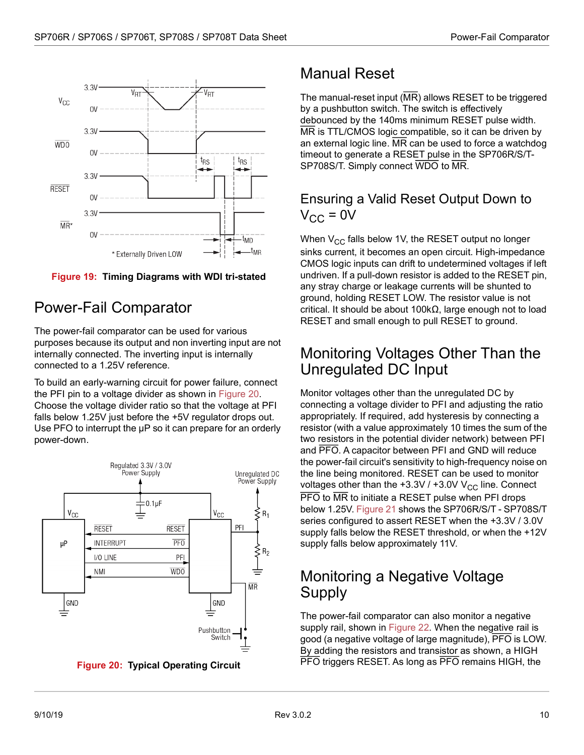<span id="page-14-5"></span>

<span id="page-14-6"></span>**Figure 19: Timing Diagrams with WDI tri-stated**

#### <span id="page-14-0"></span>Power-Fail Comparator

The power-fail comparator can be used for various purposes because its output and non inverting input are not internally connected. The inverting input is internally connected to a 1.25V reference.

To build an early-warning circuit for power failure, connect the PFI pin to a voltage divider as shown in [Figure 20](#page-14-7). Choose the voltage divider ratio so that the voltage at PFI falls below 1.25V just before the +5V regulator drops out. Use PFO to interrupt the  $\mu$ P so it can prepare for an orderly power-down.



<span id="page-14-7"></span>**Figure 20: Typical Operating Circuit**

## <span id="page-14-1"></span>Manual Reset

The manual-reset input (MR) allows RESET to be triggered by a pushbutton switch. The switch is effectively debounced by the 140ms minimum RESET pulse width. MR is TTL/CMOS logic compatible, so it can be driven by an external logic line. MR can be used to force a watchdog timeout to generate a RESET pulse in the SP706R/S/T-SP708S/T. Simply connect WDO to MR.

#### <span id="page-14-2"></span>Ensuring a Valid Reset Output Down to  $V_{CC}$  = 0V

When  $V_{CC}$  falls below 1V, the RESET output no longer sinks current, it becomes an open circuit. High-impedance CMOS logic inputs can drift to undetermined voltages if left undriven. If a pull-down resistor is added to the RESET pin, any stray charge or leakage currents will be shunted to ground, holding RESET LOW. The resistor value is not critical. It should be about 100kΩ, large enough not to load RESET and small enough to pull RESET to ground.

#### <span id="page-14-3"></span>Monitoring Voltages Other Than the Unregulated DC Input

Monitor voltages other than the unregulated DC by connecting a voltage divider to PFI and adjusting the ratio appropriately. If required, add hysteresis by connecting a resistor (with a value approximately 10 times the sum of the two resistors in the potential divider network) between PFI and PFO. A capacitor between PFI and GND will reduce the power-fail circuit's sensitivity to high-frequency noise on the line being monitored. RESET can be used to monitor voltages other than the  $+3.3V / +3.0V V_{CC}$  line. Connect **PFO** to MR to initiate a RESET pulse when PFI drops below 1.25V. [Figure 21](#page-15-3) shows the SP706R/S/T - SP708S/T series configured to assert RESET when the +3.3V / 3.0V supply falls below the RESET threshold, or when the +12V supply falls below approximately 11V.

#### <span id="page-14-4"></span>Monitoring a Negative Voltage Supply

The power-fail comparator can also monitor a negative supply rail, shown in [Figure 22.](#page-15-4) When the negative rail is good (a negative voltage of large magnitude), PFO is LOW. By adding the resistors and transistor as shown, a HIGH PFO triggers RESET. As long as PFO remains HIGH, the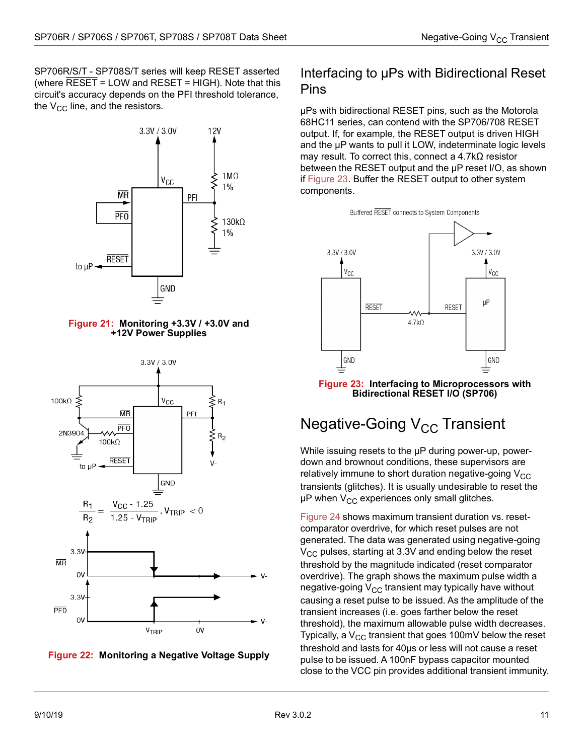<span id="page-15-2"></span>SP706R/S/T - SP708S/T series will keep RESET asserted (where RESET = LOW and RESET = HIGH). Note that this circuit's accuracy depends on the PFI threshold tolerance, the  $V_{CC}$  line, and the resistors.



#### **Figure 21: Monitoring +3.3V / +3.0V and +12V Power Supplies**

<span id="page-15-3"></span>

<span id="page-15-4"></span>

#### <span id="page-15-0"></span>Interfacing to µPs with Bidirectional Reset Pins

µPs with bidirectional RESET pins, such as the Motorola 68HC11 series, can contend with the SP706/708 RESET output. If, for example, the RESET output is driven HIGH and the µP wants to pull it LOW, indeterminate logic levels may result. To correct this, connect a 4.7kΩ resistor between the RESET output and the µP reset I/O, as shown if [Figure 23.](#page-15-5) Buffer the RESET output to other system components.



#### <span id="page-15-5"></span>**Figure 23: Interfacing to Microprocessors with Bidirectional RESET I/O (SP706)**

## <span id="page-15-1"></span>Negative-Going  $V_{CC}$  Transient

While issuing resets to the μP during power-up, powerdown and brownout conditions, these supervisors are relatively immune to short duration negative-going  $V_{CC}$ transients (glitches). It is usually undesirable to reset the μP when  $V_{CC}$  experiences only small glitches.

[Figure 24](#page-16-1) shows maximum transient duration vs. resetcomparator overdrive, for which reset pulses are not generated. The data was generated using negative-going  $V_{\rm CC}$  pulses, starting at 3.3V and ending below the reset threshold by the magnitude indicated (reset comparator overdrive). The graph shows the maximum pulse width a negative-going  $V_{CC}$  transient may typically have without causing a reset pulse to be issued. As the amplitude of the transient increases (i.e. goes farther below the reset threshold), the maximum allowable pulse width decreases. Typically, a  $V_{CC}$  transient that goes 100mV below the reset threshold and lasts for 40μs or less will not cause a reset pulse to be issued. A 100nF bypass capacitor mounted close to the VCC pin provides additional transient immunity.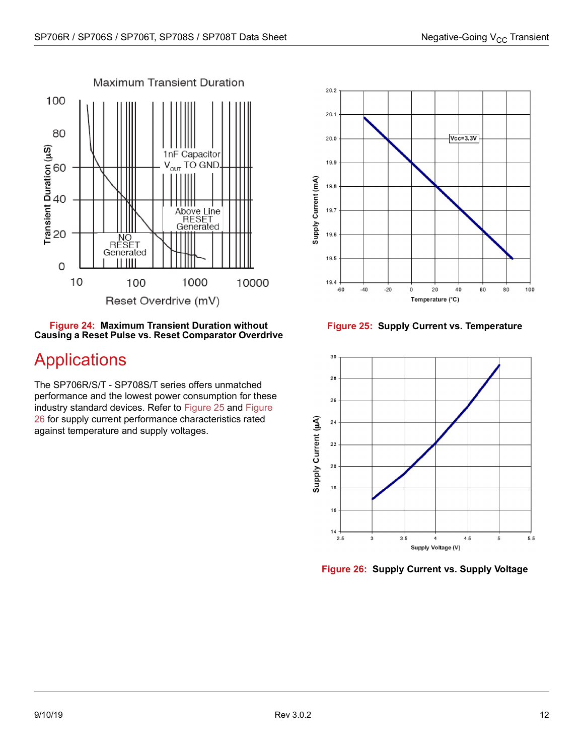

#### <span id="page-16-1"></span>**Figure 24: Maximum Transient Duration without Causing a Reset Pulse vs. Reset Comparator Overdrive**

# <span id="page-16-0"></span>Applications

The SP706R/S/T - SP708S/T series offers unmatched performance and the lowest power consumption for these industry standard devices. Refer to [Figure 25](#page-16-2) and [Figure](#page-16-3)  [26](#page-16-3) for supply current performance characteristics rated against temperature and supply voltages.



**Figure 25: Supply Current vs. Temperature**

<span id="page-16-2"></span>

<span id="page-16-3"></span>**Figure 26: Supply Current vs. Supply Voltage**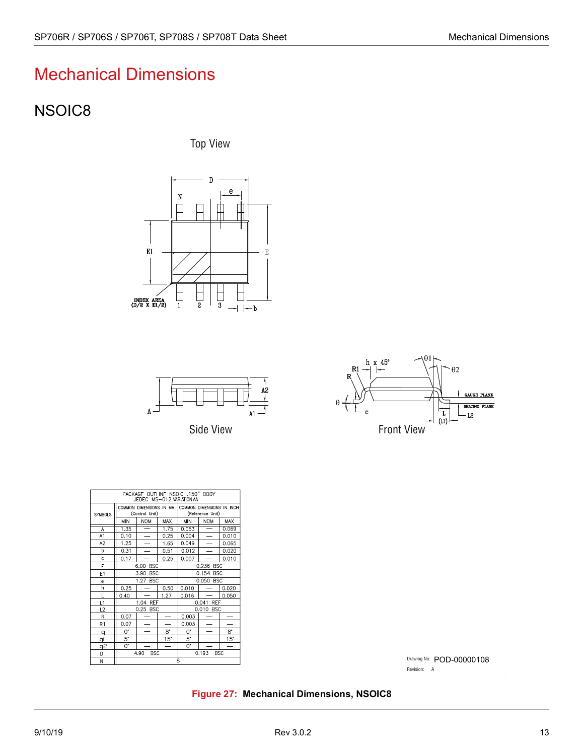## <span id="page-17-0"></span>Mechanical Dimensions

#### <span id="page-17-1"></span>NSOIC8

Top View





Side View



| PACKAGE OUTLINE NSOIC .150" BODY<br>JEDEC MS-012 VARIATION AA |                                 |                                           |                          |                                               |                          |              |  |
|---------------------------------------------------------------|---------------------------------|-------------------------------------------|--------------------------|-----------------------------------------------|--------------------------|--------------|--|
| SYMBOLS                                                       |                                 | COMMON DIMENSIONS IN MM<br>(Control Unit) |                          | COMMON DIMENSIONS IN INCH<br>(Reference Unit) |                          |              |  |
|                                                               | <b>MIN</b>                      | <b>NOM</b>                                | MAX                      | MIN                                           | <b>NOM</b>               | MAX          |  |
| А                                                             | 1.35                            |                                           | 1.75                     | 0.053                                         |                          | 0.069        |  |
| A1                                                            | 0.10                            | $\overline{\phantom{0}}$                  | 0.25                     | 0.004                                         | $\overline{\phantom{0}}$ | 0.010        |  |
| A2                                                            | 1.25                            | $\overline{\phantom{0}}$                  | 1.65                     | 0.049                                         |                          | 0.065        |  |
| h                                                             | 0.31                            |                                           | 0.51                     | 0.012                                         |                          | 0.020        |  |
| $\mathbf c$                                                   | 0.17                            |                                           | 0.25                     | 0.007                                         |                          | 0.010        |  |
| E                                                             |                                 | 6.00 BSC<br>0.236 BSC                     |                          |                                               |                          |              |  |
| E <sub>1</sub>                                                | 3.90<br><b>BSC</b><br>0.154 BSC |                                           |                          |                                               |                          |              |  |
| e                                                             | 1.27 BSC                        |                                           |                          | 0.050 BSC                                     |                          |              |  |
| h                                                             | 0.25                            |                                           | 0.50                     | 0.010                                         |                          | 0.020        |  |
| L                                                             | 0.40                            |                                           | 1.27                     | 0.016                                         |                          | 0.050        |  |
| L1                                                            | 1.04 REF                        |                                           |                          |                                               | 0.041 REF                |              |  |
| L2                                                            |                                 | 0.25 BSC                                  |                          |                                               | 0.010 BSC                |              |  |
| R                                                             | 0.07                            |                                           | $\overline{\phantom{0}}$ | 0.003                                         |                          |              |  |
| R1                                                            | 0.07                            |                                           |                          | 0.003                                         |                          |              |  |
| q                                                             | 0.                              |                                           | 8.                       | 0.                                            |                          | 8.           |  |
| þ                                                             | 5.                              |                                           | $15^\circ$               | 5.                                            |                          | $15^{\circ}$ |  |
| $\overline{\sigma}_{5}$                                       | 0.                              |                                           | $\overline{\phantom{0}}$ | 0.                                            |                          |              |  |
| D                                                             |                                 | 4.90<br><b>BSC</b>                        |                          |                                               | 0.193<br><b>BSC</b>      |              |  |
| M.                                                            | R                               |                                           |                          |                                               |                          |              |  |

Drawing No: POD-00000108 Revision: A

<span id="page-17-2"></span>**Figure 27: Mechanical Dimensions, NSOIC8**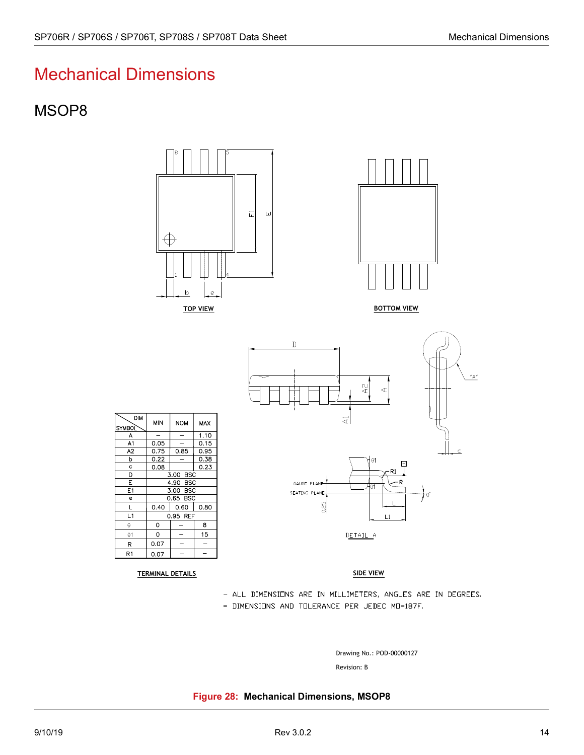#### <span id="page-18-0"></span>Mechanical Dimensions

#### <span id="page-18-1"></span>MSOP8



A<sub>1</sub>  $\overline{A2}$  $\mathbf b$  $\mathbf{c}$ D  $\overline{E}$  $E1$  $\overline{e}$  $\mathbf{I}$  $L1$  $\Theta$  $\theta$ 1  $\overline{R}$  $R1$ 

 $DIM$ 

 $\mathsf{SYMBOL}$ 

A

<span id="page-18-2"></span>TERMINAL DETAILS SIDE VIEWS SIDE VIEWS SIDE VIEWS SIDE VIEWS SIDE VIEWS SIDE VIEWS SIDE VIEWS SIDE VIEWS SIDE VI

- ALL DIMENSIONS ARE IN MILLIMETERS, ANGLES ARE IN DEGREES.
- DIMENSIONS AND TOLERANCE PER JEDEC MO-187F.

Revision: B Drawing No.: POD-00000127

**Figure 28: Mechanical Dimensions, MSOP8**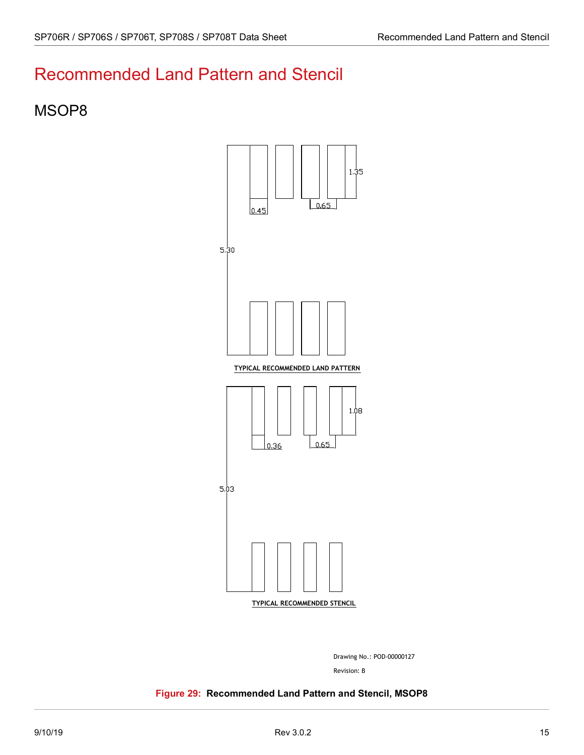## <span id="page-19-0"></span>Recommended Land Pattern and Stencil

#### <span id="page-19-1"></span>MSOP8



Drawing No.: POD-00000127

Revision: B

<span id="page-19-2"></span>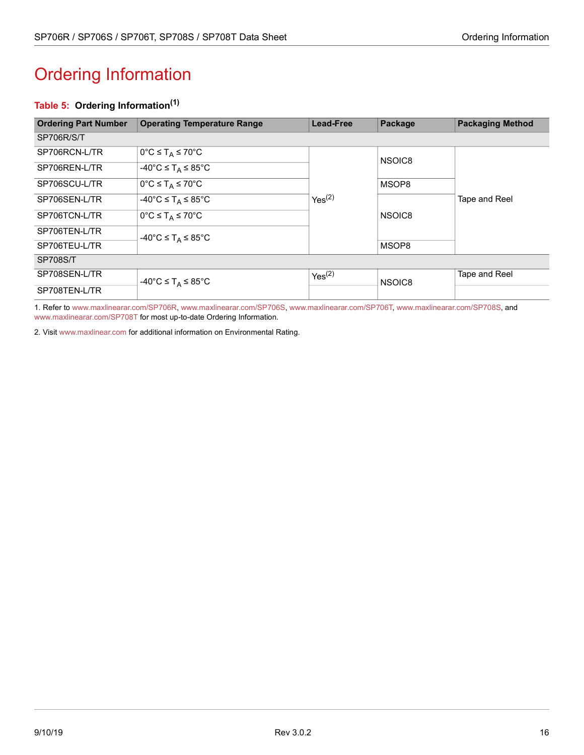# <span id="page-20-1"></span><span id="page-20-0"></span>Ordering Information

#### <span id="page-20-2"></span>**Table 5: Ordering Information(1)**

| <b>Ordering Part Number</b> | <b>Operating Temperature Range</b>                           | <b>Lead-Free</b>   | Package | <b>Packaging Method</b> |
|-----------------------------|--------------------------------------------------------------|--------------------|---------|-------------------------|
| SP706R/S/T                  |                                                              |                    |         |                         |
| SP706RCN-L/TR               | $0^{\circ}C \leq T_A \leq 70^{\circ}C$                       |                    | NSOIC8  |                         |
| SP706REN-L/TR               | $-40^{\circ}$ C $\leq$ T <sub>A</sub> $\leq$ 85 $^{\circ}$ C |                    |         |                         |
| SP706SCU-L/TR               | $0^{\circ}C \leq T_A \leq 70^{\circ}C$                       |                    | MSOP8   |                         |
| SP706SEN-L/TR               | $-40^{\circ}$ C $\leq$ T <sub>A</sub> $\leq$ 85 $^{\circ}$ C | Yes <sup>(2)</sup> |         | Tape and Reel           |
| SP706TCN-L/TR               | $0^{\circ}C \leq T_A \leq 70^{\circ}C$                       |                    | NSOIC8  |                         |
| SP706TEN-L/TR               | $-40^{\circ}$ C $\leq$ T <sub>A</sub> $\leq$ 85 $^{\circ}$ C |                    |         |                         |
| SP706TEU-L/TR               |                                                              |                    | MSOP8   |                         |
| <b>SP708S/T</b>             |                                                              |                    |         |                         |
| SP708SEN-L/TR               | $-40^{\circ}$ C $\leq$ T <sub>A</sub> $\leq$ 85 $^{\circ}$ C | Yes <sup>(2)</sup> | NSOIC8  | Tape and Reel           |
| SP708TEN-L/TR               |                                                              |                    |         |                         |

1. Refer to [www.maxlinearar.com/SP706R,](http://www.maxlinear.com/SP706R)[www.maxlinearar.com/SP706S](http://www.maxlinear.com/SP706S), [www.maxlinearar.com/SP706T,](http://www.maxlinear.com/SP706T) [www.maxlinearar.com/SP708S](http://www.maxlinear.com/SP708S), and [www.maxlinearar.com/SP708T](http://www.maxlinear.com/SP708T) for most up-to-date Ordering Information.

2. Visit[www.maxlinear.com](http://www.maxlinear.com) for additional information on Environmental Rating.